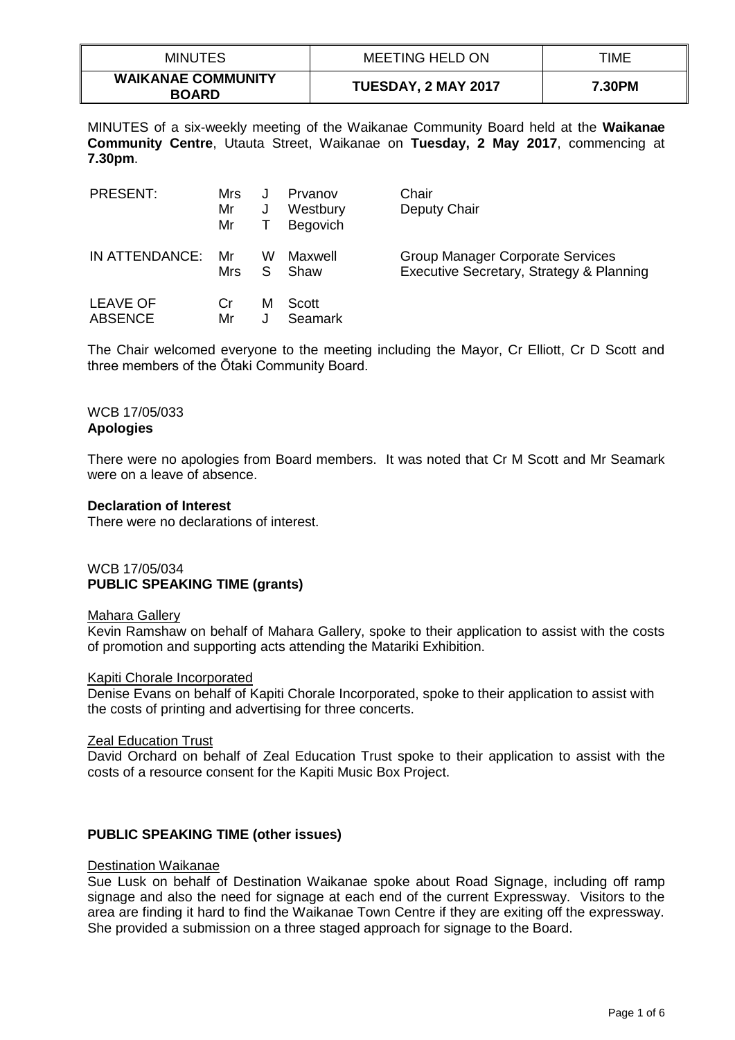| <b>MINUTES</b>                            | MEETING HELD ON     | TIME   |
|-------------------------------------------|---------------------|--------|
| <b>WAIKANAE COMMUNITY</b><br><b>BOARD</b> | TUESDAY, 2 MAY 2017 | 7.30PM |

MINUTES of a six-weekly meeting of the Waikanae Community Board held at the **Waikanae Community Centre**, Utauta Street, Waikanae on **Tuesday, 2 May 2017**, commencing at **7.30pm**.

| <b>PRESENT:</b> | Mrs<br>Mr<br>Mr | J<br>J | Prvanov<br>Westbury<br><b>Begovich</b> | Chair<br>Deputy Chair                    |
|-----------------|-----------------|--------|----------------------------------------|------------------------------------------|
| IN ATTENDANCE:  | Mr              | W      | Maxwell                                | <b>Group Manager Corporate Services</b>  |
|                 | Mrs             | S      | Shaw                                   | Executive Secretary, Strategy & Planning |
| <b>LEAVE OF</b> | Cr              | м      | Scott                                  |                                          |
| <b>ABSENCE</b>  | Mr              | J      | <b>Seamark</b>                         |                                          |

The Chair welcomed everyone to the meeting including the Mayor, Cr Elliott, Cr D Scott and three members of the Ōtaki Community Board.

#### WCB 17/05/033 **Apologies**

There were no apologies from Board members. It was noted that Cr M Scott and Mr Seamark were on a leave of absence.

### **Declaration of Interest**

There were no declarations of interest.

# WCB 17/05/034 **PUBLIC SPEAKING TIME (grants)**

### Mahara Gallery

Kevin Ramshaw on behalf of Mahara Gallery, spoke to their application to assist with the costs of promotion and supporting acts attending the Matariki Exhibition.

### Kapiti Chorale Incorporated

Denise Evans on behalf of Kapiti Chorale Incorporated, spoke to their application to assist with the costs of printing and advertising for three concerts.

### Zeal Education Trust

David Orchard on behalf of Zeal Education Trust spoke to their application to assist with the costs of a resource consent for the Kapiti Music Box Project.

## **PUBLIC SPEAKING TIME (other issues)**

### Destination Waikanae

Sue Lusk on behalf of Destination Waikanae spoke about Road Signage, including off ramp signage and also the need for signage at each end of the current Expressway. Visitors to the area are finding it hard to find the Waikanae Town Centre if they are exiting off the expressway. She provided a submission on a three staged approach for signage to the Board.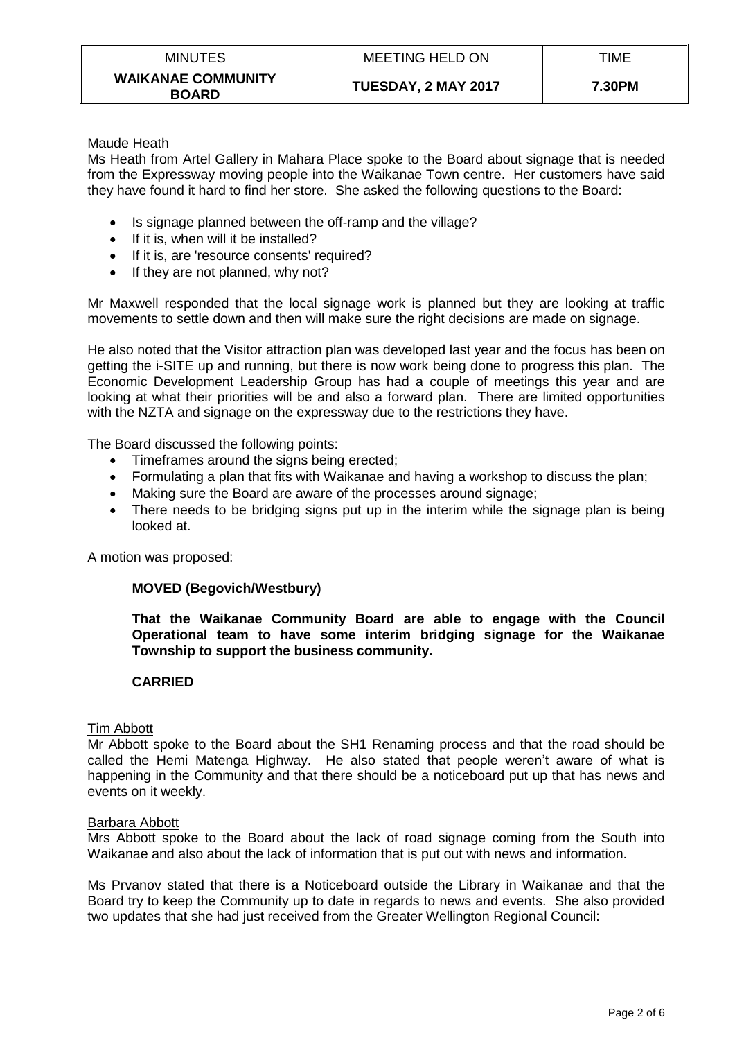| <b>MINUTES</b>                            | MEETING HELD ON     | TIME   |
|-------------------------------------------|---------------------|--------|
| <b>WAIKANAE COMMUNITY</b><br><b>BOARD</b> | TUESDAY, 2 MAY 2017 | 7.30PM |

### Maude Heath

Ms Heath from Artel Gallery in Mahara Place spoke to the Board about signage that is needed from the Expressway moving people into the Waikanae Town centre. Her customers have said they have found it hard to find her store. She asked the following questions to the Board:

- Is signage planned between the off-ramp and the village?
- $\bullet$  If it is, when will it be installed?
- If it is, are 'resource consents' required?
- $\bullet$  If they are not planned, why not?

Mr Maxwell responded that the local signage work is planned but they are looking at traffic movements to settle down and then will make sure the right decisions are made on signage.

He also noted that the Visitor attraction plan was developed last year and the focus has been on getting the i-SITE up and running, but there is now work being done to progress this plan. The Economic Development Leadership Group has had a couple of meetings this year and are looking at what their priorities will be and also a forward plan. There are limited opportunities with the NZTA and signage on the expressway due to the restrictions they have.

The Board discussed the following points:

- Timeframes around the signs being erected:
- Formulating a plan that fits with Waikanae and having a workshop to discuss the plan;
- Making sure the Board are aware of the processes around signage;
- There needs to be bridging signs put up in the interim while the signage plan is being looked at.

A motion was proposed:

## **MOVED (Begovich/Westbury)**

**That the Waikanae Community Board are able to engage with the Council Operational team to have some interim bridging signage for the Waikanae Township to support the business community.**

## **CARRIED**

### Tim Abbott

Mr Abbott spoke to the Board about the SH1 Renaming process and that the road should be called the Hemi Matenga Highway. He also stated that people weren't aware of what is happening in the Community and that there should be a noticeboard put up that has news and events on it weekly.

### Barbara Abbott

Mrs Abbott spoke to the Board about the lack of road signage coming from the South into Waikanae and also about the lack of information that is put out with news and information.

Ms Prvanov stated that there is a Noticeboard outside the Library in Waikanae and that the Board try to keep the Community up to date in regards to news and events. She also provided two updates that she had just received from the Greater Wellington Regional Council: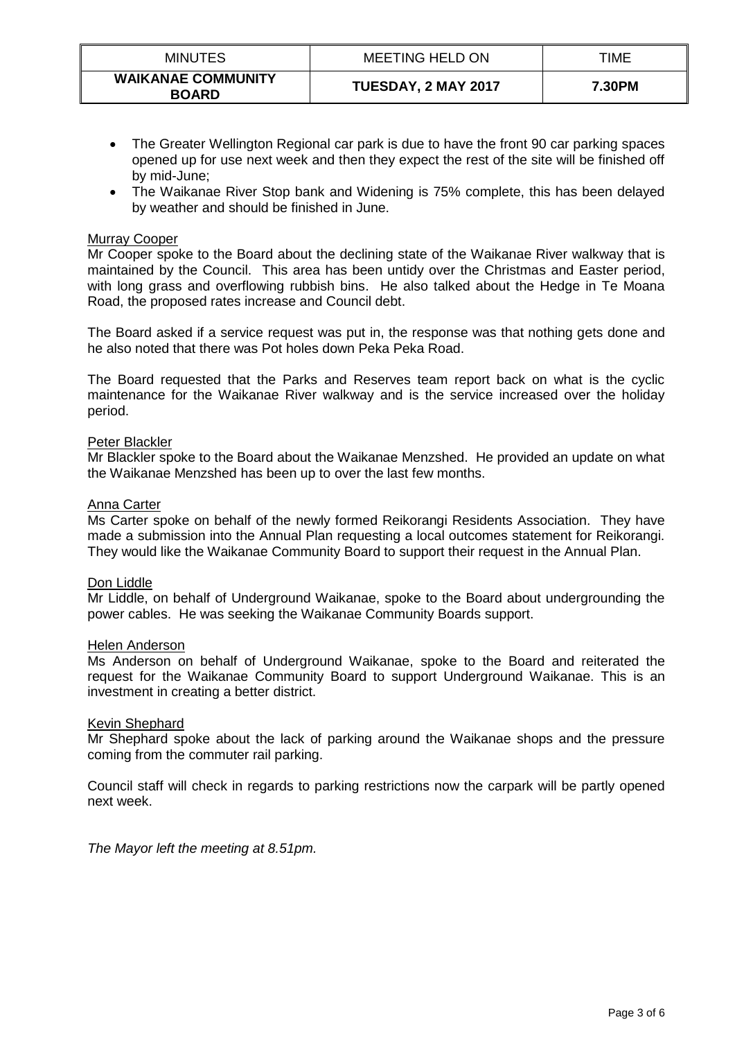| <b>MINUTES</b>                            | <b>MEETING HELD ON</b> | TIME   |
|-------------------------------------------|------------------------|--------|
| <b>WAIKANAE COMMUNITY</b><br><b>BOARD</b> | TUESDAY, 2 MAY 2017    | 7.30PM |

- The Greater Wellington Regional car park is due to have the front 90 car parking spaces opened up for use next week and then they expect the rest of the site will be finished off by mid-June;
- The Waikanae River Stop bank and Widening is 75% complete, this has been delayed by weather and should be finished in June.

## Murray Cooper

Mr Cooper spoke to the Board about the declining state of the Waikanae River walkway that is maintained by the Council. This area has been untidy over the Christmas and Easter period, with long grass and overflowing rubbish bins. He also talked about the Hedge in Te Moana Road, the proposed rates increase and Council debt.

The Board asked if a service request was put in, the response was that nothing gets done and he also noted that there was Pot holes down Peka Peka Road.

The Board requested that the Parks and Reserves team report back on what is the cyclic maintenance for the Waikanae River walkway and is the service increased over the holiday period.

### Peter Blackler

Mr Blackler spoke to the Board about the Waikanae Menzshed. He provided an update on what the Waikanae Menzshed has been up to over the last few months.

### Anna Carter

Ms Carter spoke on behalf of the newly formed Reikorangi Residents Association. They have made a submission into the Annual Plan requesting a local outcomes statement for Reikorangi. They would like the Waikanae Community Board to support their request in the Annual Plan.

### Don Liddle

Mr Liddle, on behalf of Underground Waikanae, spoke to the Board about undergrounding the power cables. He was seeking the Waikanae Community Boards support.

### Helen Anderson

Ms Anderson on behalf of Underground Waikanae, spoke to the Board and reiterated the request for the Waikanae Community Board to support Underground Waikanae. This is an investment in creating a better district.

### Kevin Shephard

Mr Shephard spoke about the lack of parking around the Waikanae shops and the pressure coming from the commuter rail parking.

Council staff will check in regards to parking restrictions now the carpark will be partly opened next week.

*The Mayor left the meeting at 8.51pm.*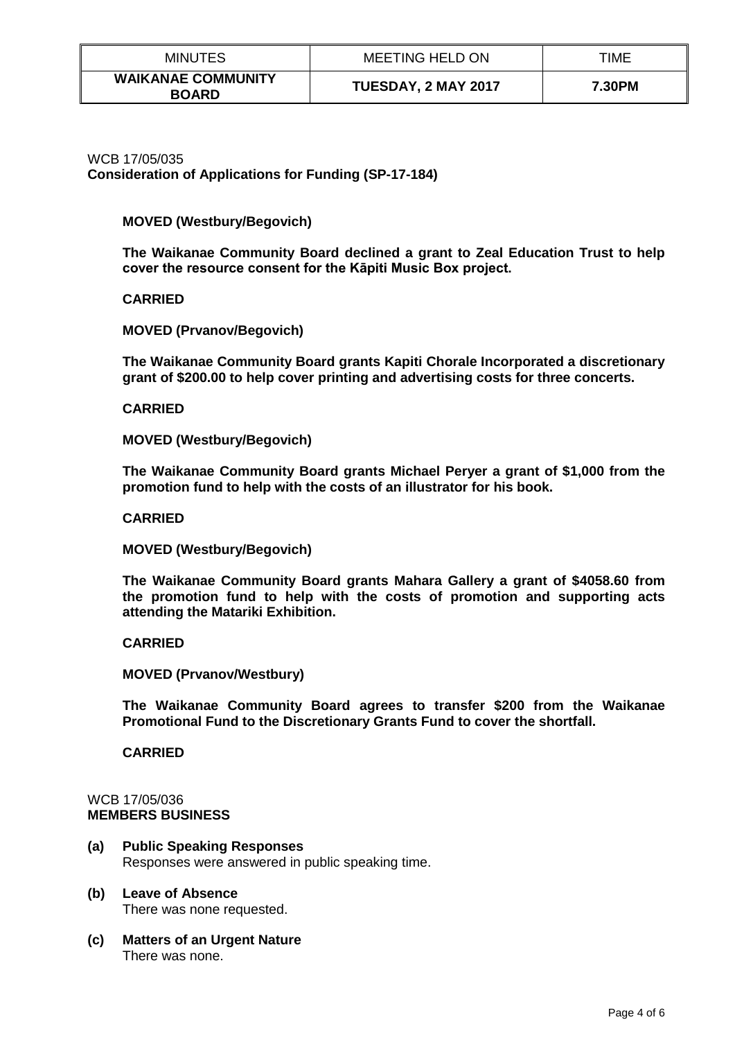| <b>MINUTES</b>                            | <b>MEETING HELD ON</b> | TIME   |
|-------------------------------------------|------------------------|--------|
| <b>WAIKANAE COMMUNITY</b><br><b>BOARD</b> | TUESDAY, 2 MAY 2017    | 7.30PM |

WCB 17/05/035 **Consideration of Applications for Funding (SP-17-184)**

## **MOVED (Westbury/Begovich)**

**The Waikanae Community Board declined a grant to Zeal Education Trust to help cover the resource consent for the Kāpiti Music Box project.**

### **CARRIED**

**MOVED (Prvanov/Begovich)**

**The Waikanae Community Board grants Kapiti Chorale Incorporated a discretionary grant of \$200.00 to help cover printing and advertising costs for three concerts.**

### **CARRIED**

**MOVED (Westbury/Begovich)**

**The Waikanae Community Board grants Michael Peryer a grant of \$1,000 from the promotion fund to help with the costs of an illustrator for his book.**

**CARRIED**

**MOVED (Westbury/Begovich)**

**The Waikanae Community Board grants Mahara Gallery a grant of \$4058.60 from the promotion fund to help with the costs of promotion and supporting acts attending the Matariki Exhibition.**

### **CARRIED**

**MOVED (Prvanov/Westbury)**

**The Waikanae Community Board agrees to transfer \$200 from the Waikanae Promotional Fund to the Discretionary Grants Fund to cover the shortfall.**

**CARRIED**

#### WCB 17/05/036 **MEMBERS BUSINESS**

**(a) Public Speaking Responses** Responses were answered in public speaking time.

#### **(b) Leave of Absence**  There was none requested.

**(c) Matters of an Urgent Nature** There was none.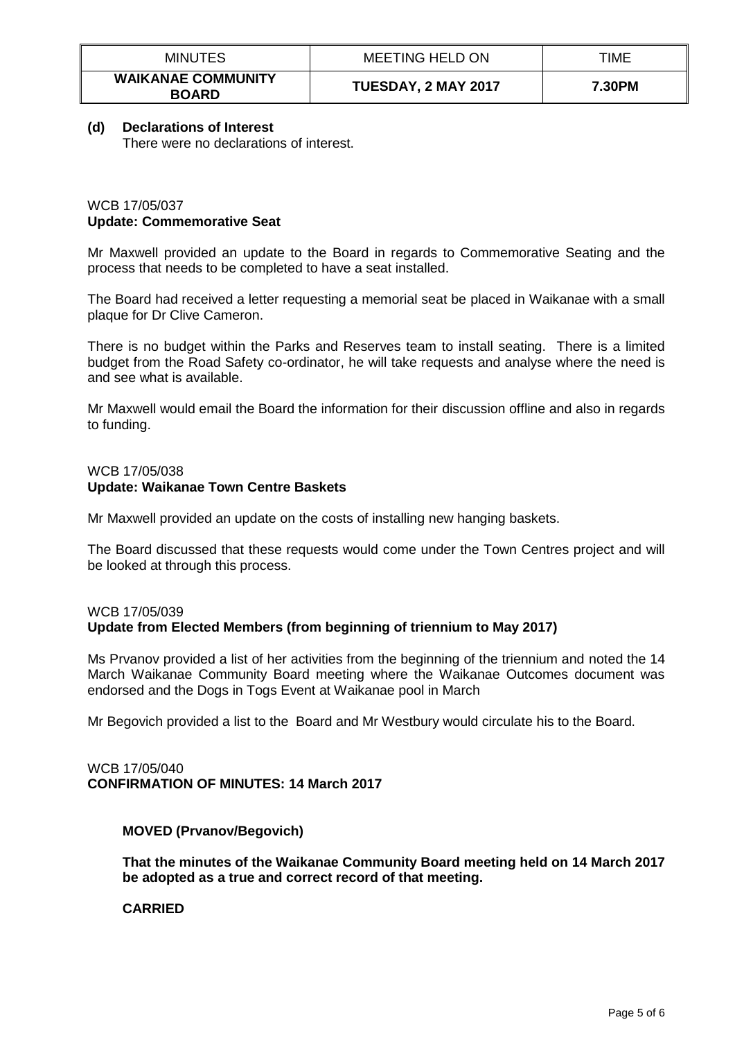| <b>MINUTES</b>                            | <b>MEETING HELD ON</b> | TIME   |
|-------------------------------------------|------------------------|--------|
| <b>WAIKANAE COMMUNITY</b><br><b>BOARD</b> | TUESDAY, 2 MAY 2017    | 7.30PM |

## **(d) Declarations of Interest**

There were no declarations of interest.

## WCB 17/05/037 **Update: Commemorative Seat**

Mr Maxwell provided an update to the Board in regards to Commemorative Seating and the process that needs to be completed to have a seat installed.

The Board had received a letter requesting a memorial seat be placed in Waikanae with a small plaque for Dr Clive Cameron.

There is no budget within the Parks and Reserves team to install seating. There is a limited budget from the Road Safety co-ordinator, he will take requests and analyse where the need is and see what is available.

Mr Maxwell would email the Board the information for their discussion offline and also in regards to funding.

## WCB 17/05/038 **Update: Waikanae Town Centre Baskets**

Mr Maxwell provided an update on the costs of installing new hanging baskets.

The Board discussed that these requests would come under the Town Centres project and will be looked at through this process.

#### WCB 17/05/039 **Update from Elected Members (from beginning of triennium to May 2017)**

Ms Prvanov provided a list of her activities from the beginning of the triennium and noted the 14 March Waikanae Community Board meeting where the Waikanae Outcomes document was endorsed and the Dogs in Togs Event at Waikanae pool in March

Mr Begovich provided a list to the Board and Mr Westbury would circulate his to the Board.

## WCB 17/05/040 **CONFIRMATION OF MINUTES: 14 March 2017**

## **MOVED (Prvanov/Begovich)**

**That the minutes of the Waikanae Community Board meeting held on 14 March 2017 be adopted as a true and correct record of that meeting.** 

**CARRIED**